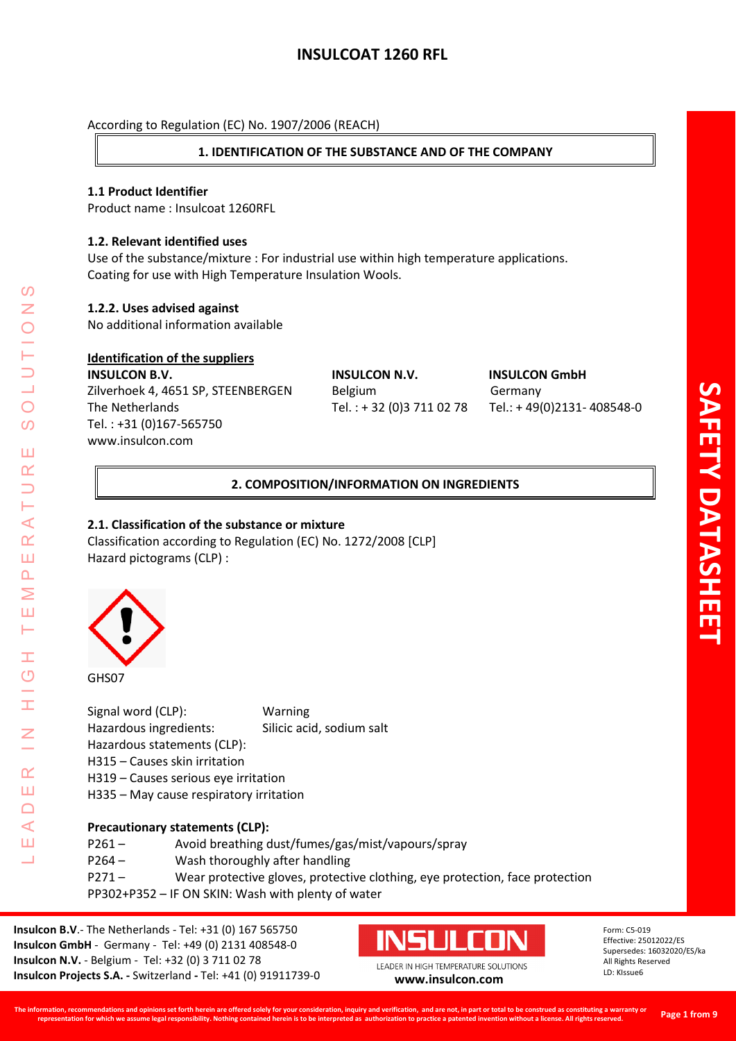# **1. IDENTIFICATION OF THE SUBSTANCE AND OF THE COMPANY**

## **1.1 Product Identifier**

Product name : Insulcoat 1260RFL

## **1.2. Relevant identified uses**

Use of the substance/mixture : For industrial use within high temperature applications. Coating for use with High Temperature Insulation Wools.

## **1.2.2. Uses advised against**

No additional information available

## **Identification of the suppliers**

**INSULCON B.V. INSULCON N.V. INSULCON GmbH** Zilverhoek 4, 4651 SP, STEENBERGEN Belgium Germany The Netherlands Tel. : + 32 (0)3 711 02 78 Tel.: + 49(0)2131- 408548-0 Tel. : +31 (0)167-565750 [www.insulcon.com](http://www.insulcon.com/)

## **2. COMPOSITION/INFORMATION ON INGREDIENTS**

## **2.1. Classification of the substance or mixture**

Classification according to Regulation (EC) No. 1272/2008 [CLP] Hazard pictograms (CLP) :



LEADER IN HIGH TEMPERATURE SOLUTIONS

Ŧ  $\overline{O}$ 

 $\alpha$ Ш  $\Box$  $\triangleleft$ Ш 山

⋖  $\alpha$ Ш  $\overline{\mathbf{r}}$ Σ Ш Н

 $\Omega$ Z

 $\bigcirc$  $\Omega$ 

Ш  $\alpha$ 

> Signal word (CLP): Warning Hazardous ingredients: Silicic acid, sodium salt Hazardous statements (CLP): H315 – Causes skin irritation H319 – Causes serious eye irritation H335 – May cause respiratory irritation

## **Precautionary statements (CLP):**

| P261 – | Avoid breathing dust/fumes/gas/mist/vapours/spray                            |
|--------|------------------------------------------------------------------------------|
| P264 – | Wash thoroughly after handling                                               |
| P271 – | Wear protective gloves, protective clothing, eye protection, face protection |
|        | PP302+P352 - IF ON SKIN: Wash with plenty of water                           |

**Insulcon B.V**.- The Netherlands - Tel: +31 (0) 167 565750 **Insulcon GmbH** - Germany - Tel: +49 (0) 2131 408548-0 **Insulcon N.V.** - Belgium - Tel: +32 (0) 3 711 02 78 **Insulcon Projects S.A. -** Switzerland **-** Tel: +41 (0) 91911739-0 **[www.insulcon.com](http://www.insulcon.com/)**

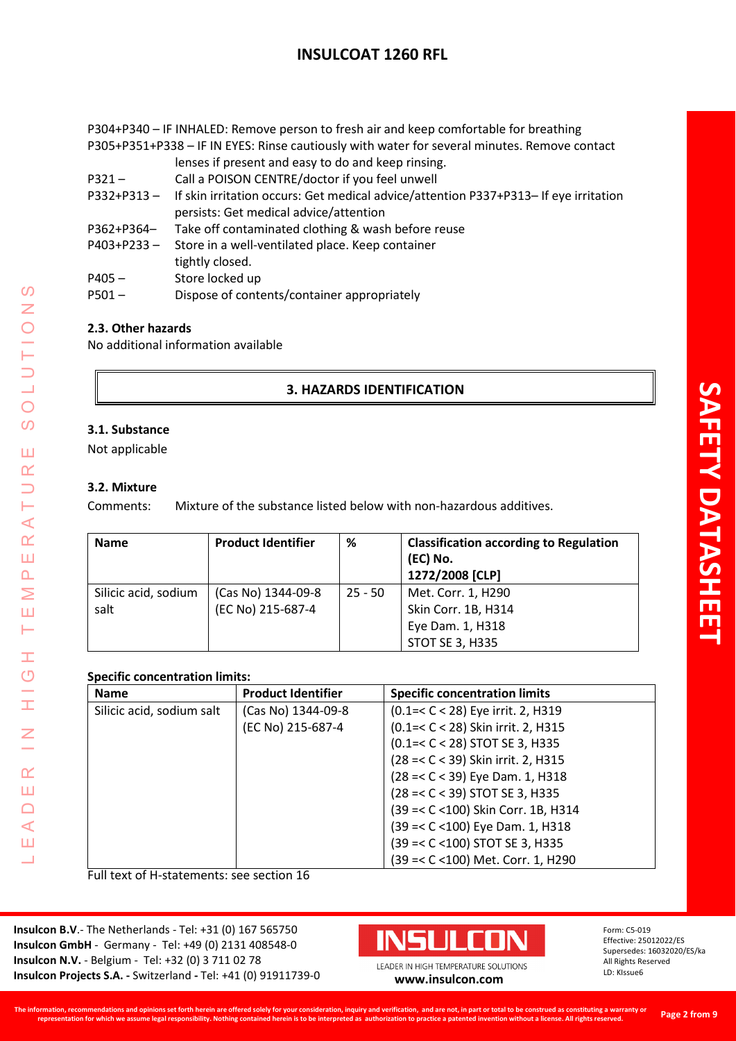P304+P340 – IF INHALED: Remove person to fresh air and keep comfortable for breathing P305+P351+P338 – IF IN EYES: Rinse cautiously with water for several minutes. Remove contact lenses if present and easy to do and keep rinsing.

- P321 Call a POISON CENTRE/doctor if you feel unwell
- P332+P313 If skin irritation occurs: Get medical advice/attention P337+P313– If eye irritation persists: Get medical advice/attention
- P362+P364– Take off contaminated clothing & wash before reuse
- P403+P233 Store in a well-ventilated place. Keep container tightly closed.
- P405 Store locked up
- P501 Dispose of contents/container appropriately

## **2.3. Other hazards**

No additional information available

## **3. HAZARDS IDENTIFICATION**

## **3.1. Substance**

Not applicable

#### **3.2. Mixture**

LEADER IN HIGH TEMPERATURE SOLUTIONS

Ŧ  $\overline{O}$ 

H

Z

 $\alpha$ Ш  $\Box$  $\blacktriangleleft$ Ш 山

 $\Omega$ Z

 $\bigcirc$  $\Omega$ 

Ш  $\underline{\alpha}$  $\overline{\phantom{0}}$ Н ⋖  $\alpha$ Ш  $\Delta$ Σ Ш Н

Comments: Mixture of the substance listed below with non-hazardous additives.

| <b>Name</b>                  | <b>Product Identifier</b>               | %         | <b>Classification according to Regulation</b><br>(EC) No.<br>1272/2008 [CLP] |
|------------------------------|-----------------------------------------|-----------|------------------------------------------------------------------------------|
| Silicic acid, sodium<br>salt | (Cas No) 1344-09-8<br>(EC No) 215-687-4 | $25 - 50$ | Met. Corr. 1, H290<br>Skin Corr. 1B, H314<br>Eye Dam. 1, H318                |
|                              |                                         |           | STOT SE 3, H335                                                              |

## **Specific concentration limits:**

| <b>Name</b>               | <b>Product Identifier</b> | <b>Specific concentration limits</b> |
|---------------------------|---------------------------|--------------------------------------|
| Silicic acid, sodium salt | (Cas No) 1344-09-8        | (0.1=< C < 28) Eye irrit. 2, H319    |
|                           | (EC No) 215-687-4         | (0.1=< C < 28) Skin irrit. 2, H315   |
|                           |                           | (0.1=< C < 28) STOT SE 3, H335       |
|                           |                           | (28 = < C < 39) Skin irrit. 2, H315  |
|                           |                           | (28 = < C < 39) Eye Dam. 1, H318     |
|                           |                           | (28 = < C < 39) STOT SE 3, H335      |
|                           |                           | (39 = < C < 100) Skin Corr. 1B, H314 |
|                           |                           | (39 = < C < 100) Eye Dam. 1, H318    |
|                           |                           | (39 =< C <100) STOT SE 3, H335       |
|                           |                           | (39 =< C <100) Met. Corr. 1, H290    |

Full text of H-statements: see section 16

**Insulcon B.V**.- The Netherlands - Tel: +31 (0) 167 565750 **Insulcon GmbH** - Germany - Tel: +49 (0) 2131 408548-0 **Insulcon N.V.** - Belgium - Tel: +32 (0) 3 711 02 78 **Insulcon Projects S.A. -** Switzerland **-** Tel: +41 (0) 91911739-0 **[www.insulcon.com](http://www.insulcon.com/)**

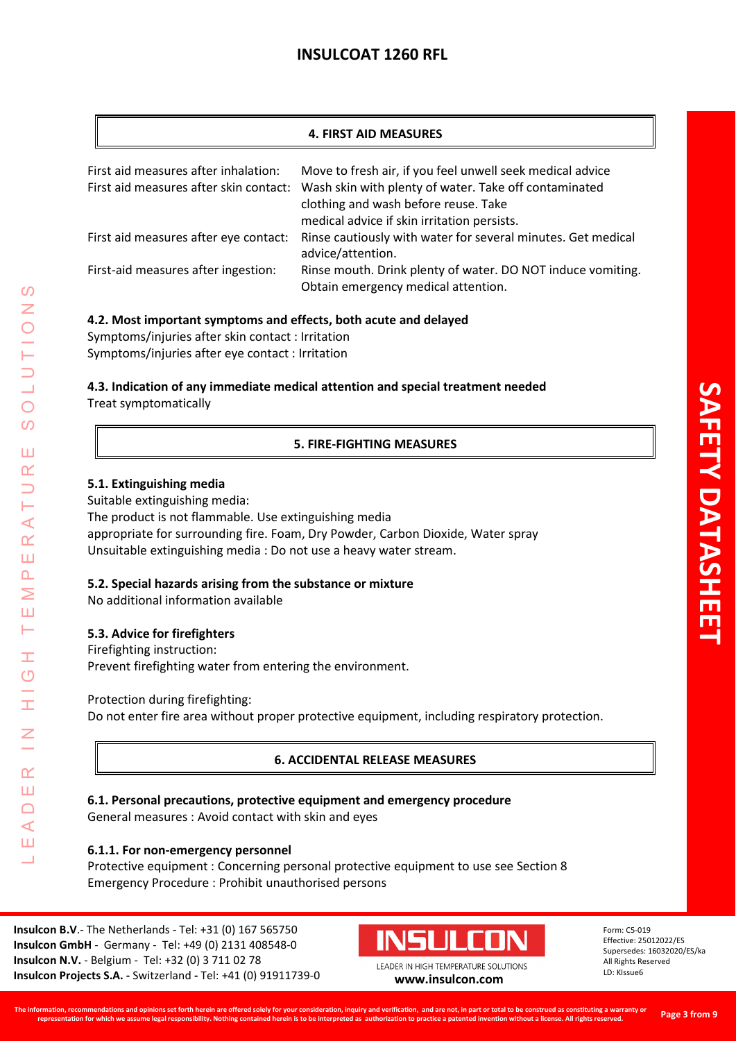## **4. FIRST AID MEASURES**

| First aid measures after inhalation:<br>First aid measures after skin contact: | Move to fresh air, if you feel unwell seek medical advice<br>Wash skin with plenty of water. Take off contaminated<br>clothing and wash before reuse. Take<br>medical advice if skin irritation persists. |
|--------------------------------------------------------------------------------|-----------------------------------------------------------------------------------------------------------------------------------------------------------------------------------------------------------|
| First aid measures after eye contact:                                          | Rinse cautiously with water for several minutes. Get medical<br>advice/attention.                                                                                                                         |
| First-aid measures after ingestion:                                            | Rinse mouth. Drink plenty of water. DO NOT induce vomiting.<br>Obtain emergency medical attention.                                                                                                        |

## **4.2. Most important symptoms and effects, both acute and delayed**

Symptoms/injuries after skin contact : Irritation Symptoms/injuries after eye contact : Irritation

**4.3. Indication of any immediate medical attention and special treatment needed** Treat symptomatically

## **5. FIRE-FIGHTING MEASURES**

## **5.1. Extinguishing media**

Suitable extinguishing media:

The product is not flammable. Use extinguishing media appropriate for surrounding fire. Foam, Dry Powder, Carbon Dioxide, Water spray Unsuitable extinguishing media : Do not use a heavy water stream.

## **5.2. Special hazards arising from the substance or mixture**

No additional information available

## **5.3. Advice for firefighters**

LEADER IN HIGH TEMPERATURE SOLUTIONS

Ŧ  $\overline{O}$ 

I

 $\alpha$ Ш  $\Box$  $\triangleleft$ Ш 山

 $\prec$  $\alpha$ Ш  $\Delta$ Σ Ш Н

 $\Omega$ 

 $\bigcirc$ 

 $\overline{O}$ 

Ш  $\alpha$  $\overline{\phantom{0}}$ 

> Firefighting instruction: Prevent firefighting water from entering the environment.

Protection during firefighting:

Do not enter fire area without proper protective equipment, including respiratory protection.

## **6. ACCIDENTAL RELEASE MEASURES**

**6.1. Personal precautions, protective equipment and emergency procedure** General measures : Avoid contact with skin and eyes

## **6.1.1. For non-emergency personnel**

Protective equipment : Concerning personal protective equipment to use see Section 8 Emergency Procedure : Prohibit unauthorised persons

**Insulcon B.V**.- The Netherlands - Tel: +31 (0) 167 565750 **Insulcon GmbH** - Germany - Tel: +49 (0) 2131 408548-0 **Insulcon N.V.** - Belgium - Tel: +32 (0) 3 711 02 78 **Insulcon Projects S.A. -** Switzerland **-** Tel: +41 (0) 91911739-0 **[www.insulcon.com](http://www.insulcon.com/)**

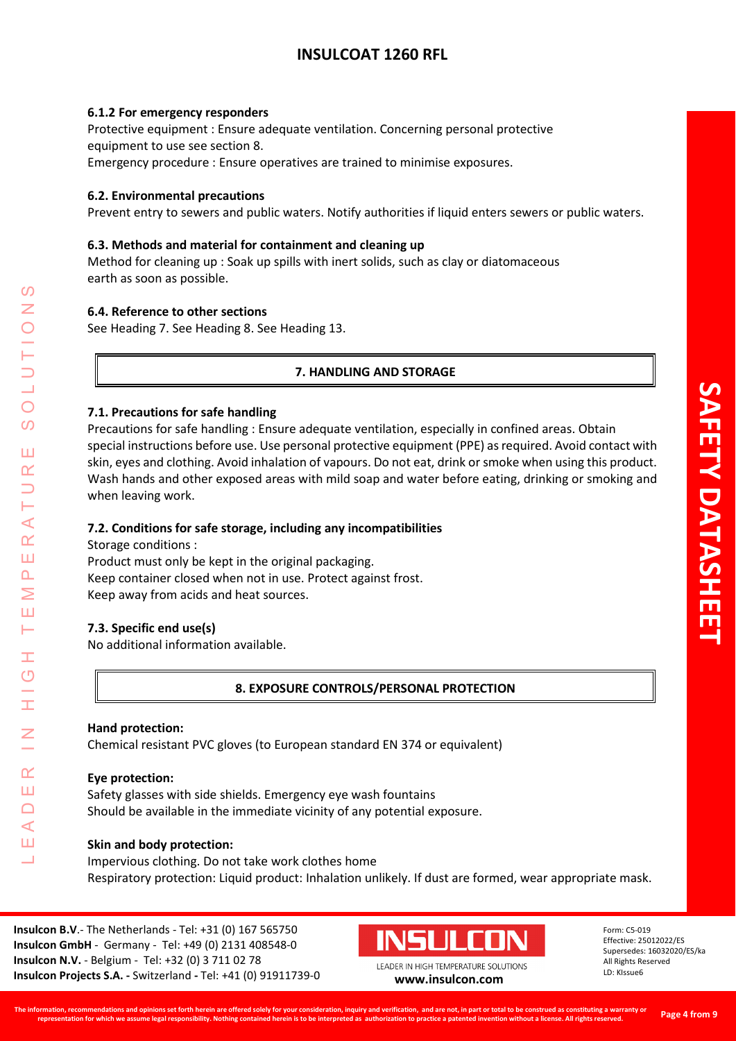#### **6.1.2 For emergency responders**

Protective equipment : Ensure adequate ventilation. Concerning personal protective equipment to use see section 8. Emergency procedure : Ensure operatives are trained to minimise exposures.

## **6.2. Environmental precautions**

Prevent entry to sewers and public waters. Notify authorities if liquid enters sewers or public waters.

#### **6.3. Methods and material for containment and cleaning up**

Method for cleaning up : Soak up spills with inert solids, such as clay or diatomaceous earth as soon as possible.

#### **6.4. Reference to other sections**

See Heading 7. See Heading 8. See Heading 13.

## **7. HANDLING AND STORAGE**

#### **7.1. Precautions for safe handling**

Precautions for safe handling : Ensure adequate ventilation, especially in confined areas. Obtain special instructions before use. Use personal protective equipment (PPE) as required. Avoid contact with skin, eyes and clothing. Avoid inhalation of vapours. Do not eat, drink or smoke when using this product. Wash hands and other exposed areas with mild soap and water before eating, drinking or smoking and when leaving work.

## **7.2. Conditions for safe storage, including any incompatibilities**

Storage conditions :

LEADER IN HIGH TEMPERATURE SOLUTIONS

Ŧ  $\overline{O}$ 

 $\alpha$ Ш  $\Box$  $\blacktriangleleft$ Ш 山

 $\blacktriangleleft$  $\alpha$ Ш  $\Delta$ Σ Ш Н

 $\Omega$ 

 $\bigcirc$  $\Omega$ 

Ш  $\alpha$ 

> Product must only be kept in the original packaging. Keep container closed when not in use. Protect against frost. Keep away from acids and heat sources.

## **7.3. Specific end use(s)**

No additional information available.

## **8. EXPOSURE CONTROLS/PERSONAL PROTECTION**

#### **Hand protection:**

Chemical resistant PVC gloves (to European standard EN 374 or equivalent)

#### **Eye protection:**

Safety glasses with side shields. Emergency eye wash fountains Should be available in the immediate vicinity of any potential exposure.

#### **Skin and body protection:**

Impervious clothing. Do not take work clothes home Respiratory protection: Liquid product: Inhalation unlikely. If dust are formed, wear appropriate mask.

**Insulcon B.V**.- The Netherlands - Tel: +31 (0) 167 565750 **Insulcon GmbH** - Germany - Tel: +49 (0) 2131 408548-0 **Insulcon N.V.** - Belgium - Tel: +32 (0) 3 711 02 78 **Insulcon Projects S.A. -** Switzerland **-** Tel: +41 (0) 91911739-0 **[www.insulcon.com](http://www.insulcon.com/)**

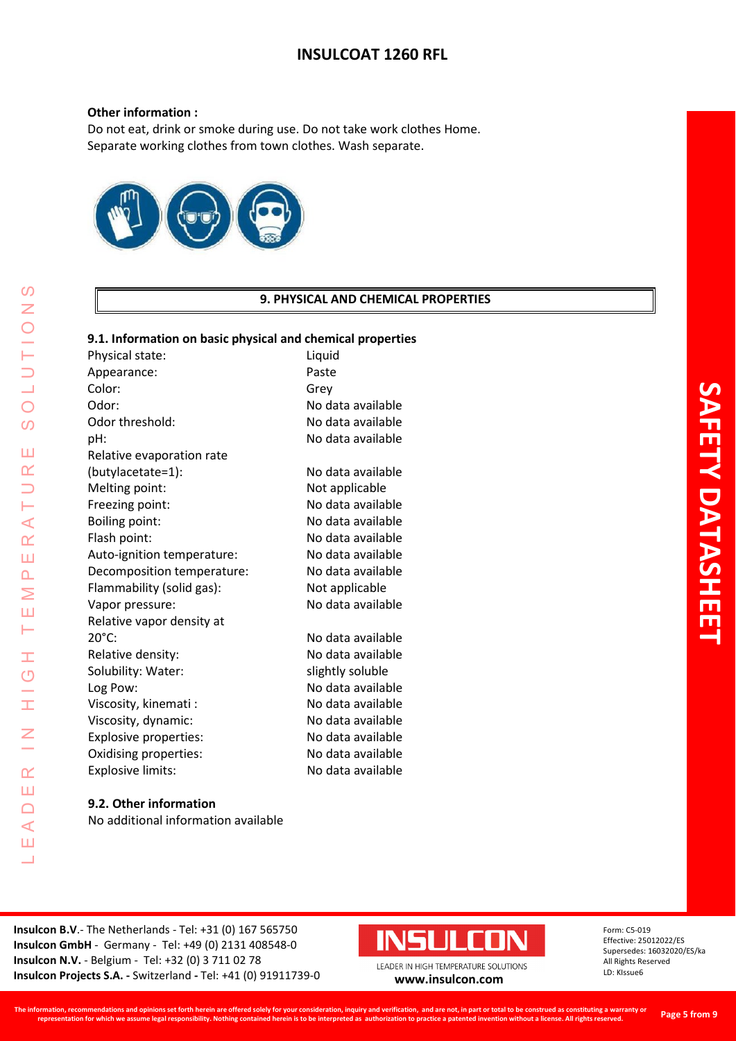#### **Other information :**

Do not eat, drink or smoke during use. Do not take work clothes Home. Separate working clothes from town clothes. Wash separate.



## **9. PHYSICAL AND CHEMICAL PROPERTIES**

#### **9.1. Information on basic physical and chemical properties**

Physical state: Liquid Appearance: Paste Color: Grey Odor: No data available Odor threshold: No data available pH: No data available Relative evaporation rate (butylacetate=1): No data available Melting point: Not applicable Freezing point: No data available Boiling point: No data available Flash point: No data available Auto-ignition temperature: No data available Decomposition temperature: No data available Flammability (solid gas): Not applicable Vapor pressure: No data available Relative vapor density at 20°C: No data available Relative density: No data available Solubility: Water: slightly soluble Log Pow: No data available Viscosity, kinemati : No data available Viscosity, dynamic: No data available Explosive properties: No data available Oxidising properties: No data available Explosive limits: No data available

LEADER IN HIGH TEMPERATURE SOLUTIONS

Ŧ  $\overline{O}$ 

 $\alpha$ Ш  $\cap$  $\blacktriangleleft$ Ш  $\overline{\phantom{0}}$ 

⋖  $\alpha$ Ш  $\overline{\mathbf{r}}$ Σ Ш H

 $\omega$  $\overline{z}$ 

 $\overline{O}$  $\Omega$ 

ΠT  $\alpha$ 

> **9.2. Other information** No additional information available

**SAFETY DATASHEET AFETY DATASHE** 

**Insulcon B.V**.- The Netherlands - Tel: +31 (0) 167 565750 **Insulcon GmbH** - Germany - Tel: +49 (0) 2131 408548-0 **Insulcon N.V.** - Belgium - Tel: +32 (0) 3 711 02 78 **Insulcon Projects S.A. -** Switzerland **-** Tel: +41 (0) 91911739-0 **[www.insulcon.com](http://www.insulcon.com/)**

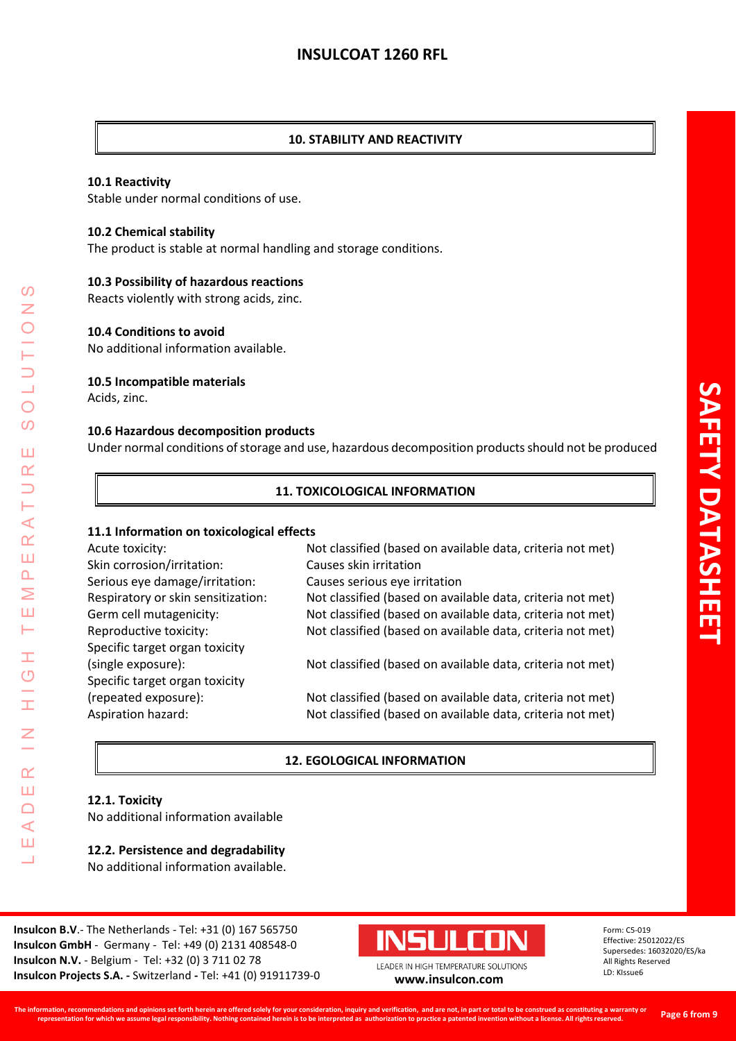## **10. STABILITY AND REACTIVITY**

#### **10.1 Reactivity**

Stable under normal conditions of use.

#### **10.2 Chemical stability**

The product is stable at normal handling and storage conditions.

## **10.3 Possibility of hazardous reactions**

Reacts violently with strong acids, zinc.

## **10.4 Conditions to avoid**

No additional information available.

#### **10.5 Incompatible materials**

Acids, zinc.

LEADER IN HIGH TEMPERATURE SOLUTIONS

Ŧ  $\circ$ 

I

 $\overline{z}$ 

 $\alpha$ Ш  $\Box$  $\prec$ Ш 山

 $\Omega$ Z

 $\bigcirc$  $\Omega$ 

Ш  $\alpha$  $\Box$ Н  $\prec$  $\alpha$ Ш  $\Delta$ Σ Ш Н

#### **10.6 Hazardous decomposition products**

Under normal conditions of storage and use, hazardous decomposition products should not be produced

## **11. TOXICOLOGICAL INFORMATION**

#### **11.1 Information on toxicological effects**

| Acute toxicity:                    | Not classified (based on available data, criteria not met) |
|------------------------------------|------------------------------------------------------------|
| Skin corrosion/irritation:         | Causes skin irritation                                     |
| Serious eye damage/irritation:     | Causes serious eye irritation                              |
| Respiratory or skin sensitization: | Not classified (based on available data, criteria not met) |
| Germ cell mutagenicity:            | Not classified (based on available data, criteria not met) |
| Reproductive toxicity:             | Not classified (based on available data, criteria not met) |
| Specific target organ toxicity     |                                                            |
| (single exposure):                 | Not classified (based on available data, criteria not met) |
| Specific target organ toxicity     |                                                            |
| (repeated exposure):               | Not classified (based on available data, criteria not met) |
| Aspiration hazard:                 | Not classified (based on available data, criteria not met) |

## **12. EGOLOGICAL INFORMATION**

## **12.1. Toxicity**

No additional information available

#### **12.2. Persistence and degradability** No additional information available.

**Insulcon B.V**.- The Netherlands - Tel: +31 (0) 167 565750 **Insulcon GmbH** - Germany - Tel: +49 (0) 2131 408548-0 **Insulcon N.V.** - Belgium - Tel: +32 (0) 3 711 02 78 **Insulcon Projects S.A. -** Switzerland **-** Tel: +41 (0) 91911739-0 **[www.insulcon.com](http://www.insulcon.com/)**

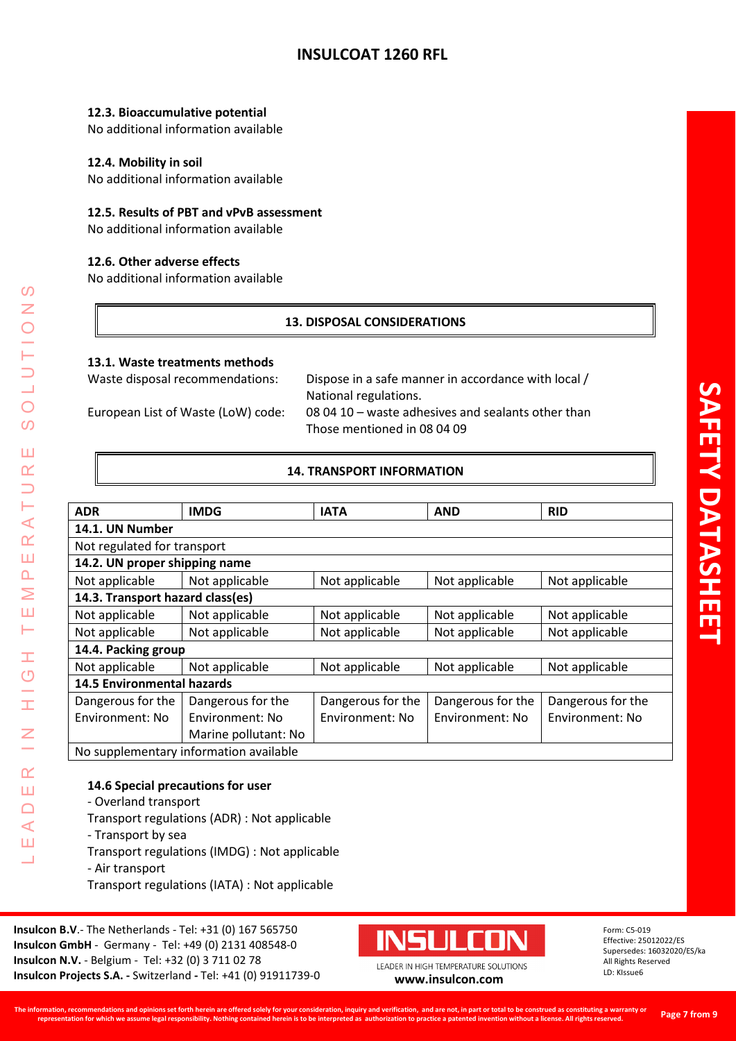## **12.3. Bioaccumulative potential**

No additional information available

## **12.4. Mobility in soil**

No additional information available

## **12.5. Results of PBT and vPvB assessment**

No additional information available

## **12.6. Other adverse effects**

No additional information available

## **13. DISPOSAL CONSIDERATIONS**

#### **13.1. Waste treatments methods**

Waste disposal recommendations: Dispose in a safe manner in accordance with local / National regulations. European List of Waste (LoW) code: 08 04 10 – waste adhesives and sealants other than Those mentioned in 08 04 09

## **14. TRANSPORT INFORMATION**

| <b>ADR</b>                             | <b>IMDG</b>          | <b>IATA</b>       | <b>AND</b>        | <b>RID</b>        |
|----------------------------------------|----------------------|-------------------|-------------------|-------------------|
| 14.1. UN Number                        |                      |                   |                   |                   |
| Not regulated for transport            |                      |                   |                   |                   |
| 14.2. UN proper shipping name          |                      |                   |                   |                   |
| Not applicable                         | Not applicable       | Not applicable    | Not applicable    | Not applicable    |
| 14.3. Transport hazard class(es)       |                      |                   |                   |                   |
| Not applicable                         | Not applicable       | Not applicable    | Not applicable    | Not applicable    |
| Not applicable                         | Not applicable       | Not applicable    | Not applicable    | Not applicable    |
| 14.4. Packing group                    |                      |                   |                   |                   |
| Not applicable                         | Not applicable       | Not applicable    | Not applicable    | Not applicable    |
| <b>14.5 Environmental hazards</b>      |                      |                   |                   |                   |
| Dangerous for the                      | Dangerous for the    | Dangerous for the | Dangerous for the | Dangerous for the |
| Environment: No                        | Environment: No      | Environment: No   | Environment: No   | Environment: No   |
|                                        | Marine pollutant: No |                   |                   |                   |
| No supplementary information available |                      |                   |                   |                   |

## **14.6 Special precautions for user**

- Overland transport
- Transport regulations (ADR) : Not applicable
- Transport by sea
- Transport regulations (IMDG) : Not applicable
- Air transport

LEADER IN HIGH TEMPERATURE SOLUTIONS

Ŧ  $\overline{C}$ 

I

 $\alpha$ Ш  $\Box$  $\blacktriangleleft$ Ш ┙

 $\prec$  $\alpha$ Ш  $\Delta$ Σ Ш Н

 $\mathcal{O}$  $\overline{z}$ 

 $\bigcirc$  $\Omega$ 

Ш  $\alpha$  $\overline{\phantom{0}}$ 

Transport regulations (IATA) : Not applicable

**Insulcon B.V**.- The Netherlands - Tel: +31 (0) 167 565750 **Insulcon GmbH** - Germany - Tel: +49 (0) 2131 408548-0 **Insulcon N.V.** - Belgium - Tel: +32 (0) 3 711 02 78 **Insulcon Projects S.A. -** Switzerland **-** Tel: +41 (0) 91911739-0 **[www.insulcon.com](http://www.insulcon.com/)**

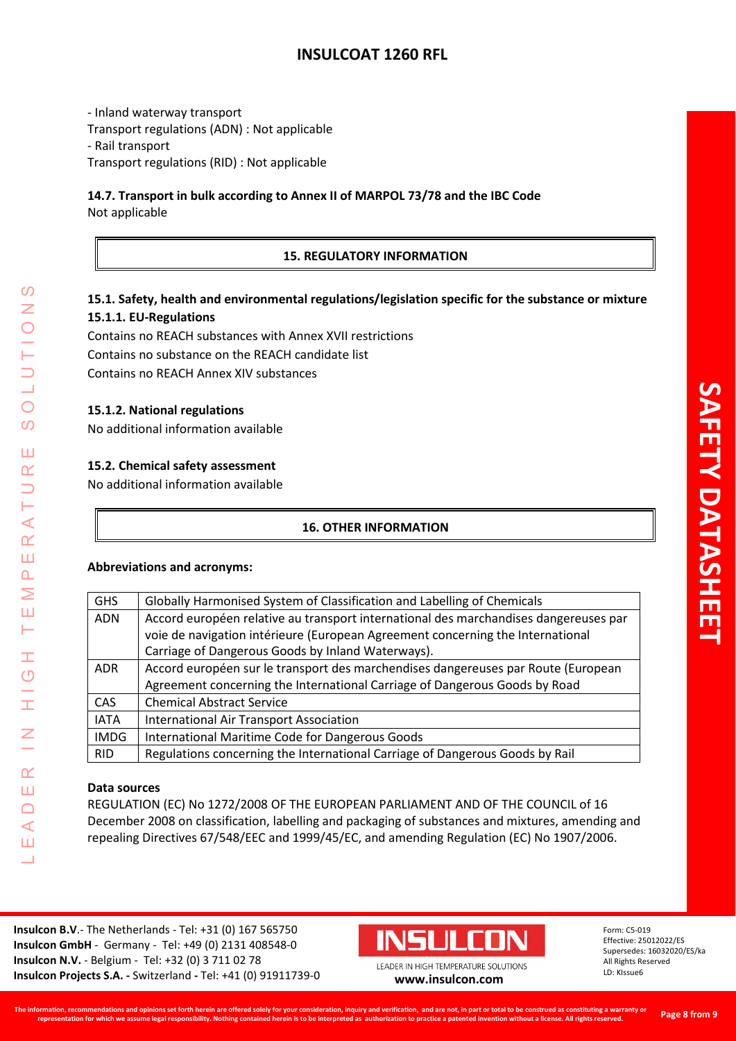- Inland waterway transport Transport regulations (ADN) : Not applicable - Rail transport Transport regulations (RID) : Not applicable

## **14.7. Transport in bulk according to Annex II of MARPOL 73/78 and the IBC Code** Not applicable

## **15. REGULATORY INFORMATION**

# **15.1. Safety, health and environmental regulations/legislation specific for the substance or mixture 15.1.1. EU-Regulations**

Contains no REACH substances with Annex XVII restrictions Contains no substance on the REACH candidate list Contains no REACH Annex XIV substances

## **15.1.2. National regulations**

No additional information available

## **15.2. Chemical safety assessment**

No additional information available

## **16. OTHER INFORMATION**

## **Abbreviations and acronyms:**

| <b>GHS</b>  | Globally Harmonised System of Classification and Labelling of Chemicals              |
|-------------|--------------------------------------------------------------------------------------|
| <b>ADN</b>  | Accord européen relative au transport international des marchandises dangereuses par |
|             | voie de navigation intérieure (European Agreement concerning the International       |
|             | Carriage of Dangerous Goods by Inland Waterways).                                    |
| <b>ADR</b>  | Accord européen sur le transport des marchendises dangereuses par Route (European    |
|             | Agreement concerning the International Carriage of Dangerous Goods by Road           |
| <b>CAS</b>  | <b>Chemical Abstract Service</b>                                                     |
| <b>IATA</b> | <b>International Air Transport Association</b>                                       |
| <b>IMDG</b> | International Maritime Code for Dangerous Goods                                      |
| <b>RID</b>  | Regulations concerning the International Carriage of Dangerous Goods by Rail         |

## **Data sources**

LEADER IN HIGH TEMPERATURE SOLUTIONS

H  $\overline{O}$ 

I

 $\alpha$ Ш  $\Box$  $\blacktriangleleft$ Ш 山

 $\Omega$ Z

 $\bigcirc$ 

 $\Omega$ 

Ш  $\alpha$  $\Box$ Н  $\blacktriangleleft$  $\alpha$ Ш  $\Delta$ Σ Ш Н

> REGULATION (EC) No 1272/2008 OF THE EUROPEAN PARLIAMENT AND OF THE COUNCIL of 16 December 2008 on classification, labelling and packaging of substances and mixtures, amending and repealing Directives 67/548/EEC and 1999/45/EC, and amending Regulation (EC) No 1907/2006.

**Insulcon B.V**.- The Netherlands - Tel: +31 (0) 167 565750 **Insulcon GmbH** - Germany - Tel: +49 (0) 2131 408548-0 **Insulcon N.V.** - Belgium - Tel: +32 (0) 3 711 02 78 **Insulcon Projects S.A. -** Switzerland **-** Tel: +41 (0) 91911739-0 **[www.insulcon.com](http://www.insulcon.com/)**